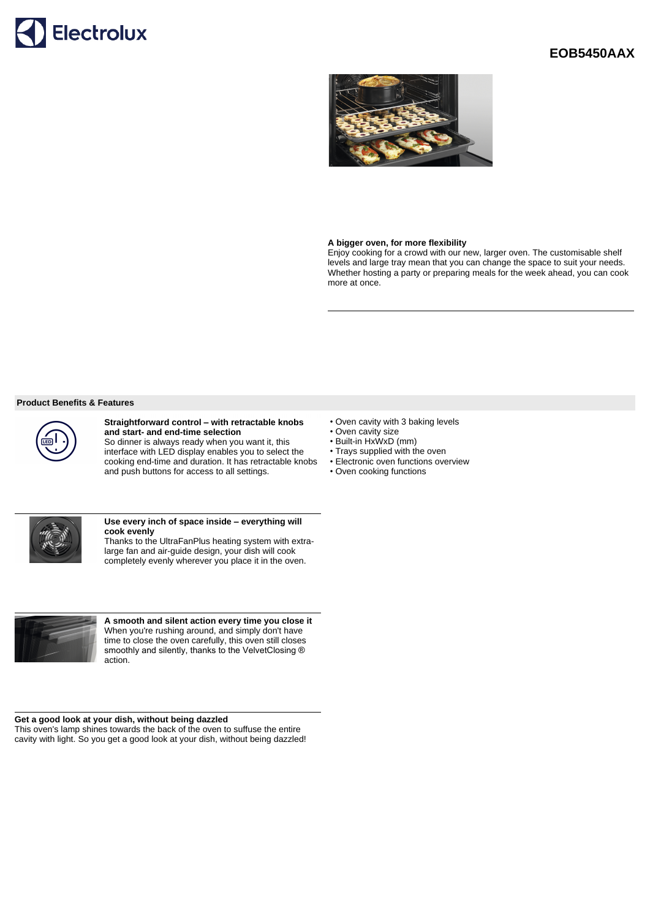

# **EOB5450AAX**



## **A bigger oven, for more flexibility**

Enjoy cooking for a crowd with our new, larger oven. The customisable shelf levels and large tray mean that you can change the space to suit your needs. Whether hosting a party or preparing meals for the week ahead, you can cook more at once.

#### **Product Benefits & Features**



### **Straightforward control – with retractable knobs and start- and end-time selection**

So dinner is always ready when you want it, this interface with LED display enables you to select the cooking end-time and duration. It has retractable knobs and push buttons for access to all settings.



#### **Use every inch of space inside – everything will cook evenly**

Thanks to the UltraFanPlus heating system with extralarge fan and air-guide design, your dish will cook completely evenly wherever you place it in the oven.



**A smooth and silent action every time you close it** When you're rushing around, and simply don't have time to close the oven carefully, this oven still closes smoothly and silently, thanks to the VelvetClosing ® action.

# **Get a good look at your dish, without being dazzled**

This oven's lamp shines towards the back of the oven to suffuse the entire cavity with light. So you get a good look at your dish, without being dazzled!

- Oven cavity with 3 baking levels
- Oven cavity size
- Built-in HxWxD (mm)
- Trays supplied with the oven
- Electronic oven functions overview
- Oven cooking functions